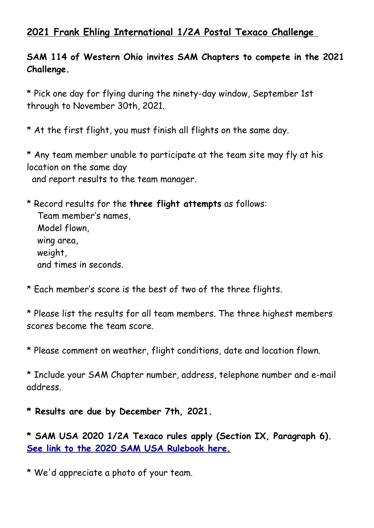## **2021 Frank Ehling International 1/2A Postal Texaco Challenge**

## **SAM 114 of Western Ohio invites SAM Chapters to compete in the 2021 Challenge.**

\* Pick one day for flying during the ninety-day window, September 1st through to November 30th, 2021.

\* At the first flight, you must finish all flights on the same day.

\* Any team member unable to participate at the team site may fly at his location on the same day and report results to the team manager.

\* Record results for the **three flight attempts** as follows: Team member's names, Model flown, wing area, weight, and times in seconds.

\* Each member's score is the best of two of the three flights.

\* Please list the results for all team members. The three highest members scores become the team score.

\* Please comment on weather, flight conditions, date and location flown.

\* Include your SAM Chapter number, address, telephone number and e-mail address.

**\* Results are due by December 7th, 2021.** 

**\* SAM USA 2020 1/2A Texaco rules apply (Section IX, Paragraph 6).  [See link to the 2020 SAM USA Rulebook here.](http://antiquemodeler.org/sam_new/rulebooks/Rulebook-Booklet-January%202020%20FINAL.pdf)**

\* We'd appreciate a photo of your team.